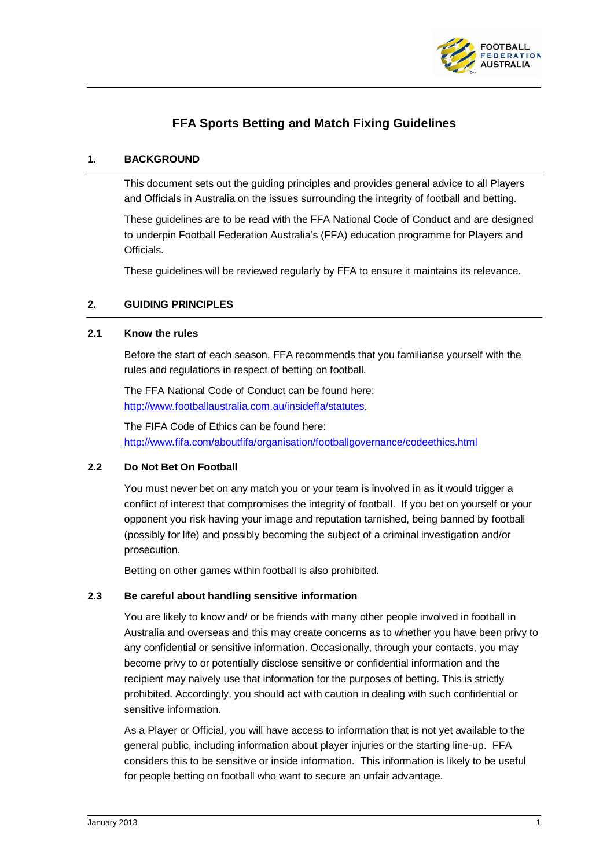

# **FFA Sports Betting and Match Fixing Guidelines**

## **1. BACKGROUND**

This document sets out the guiding principles and provides general advice to all Players and Officials in Australia on the issues surrounding the integrity of football and betting.

These guidelines are to be read with the FFA National Code of Conduct and are designed to underpin Football Federation Australia's (FFA) education programme for Players and Officials.

These guidelines will be reviewed regularly by FFA to ensure it maintains its relevance.

## **2. GUIDING PRINCIPLES**

#### **2.1 Know the rules**

Before the start of each season, FFA recommends that you familiarise yourself with the rules and regulations in respect of betting on football.

The FFA National Code of Conduct can be found here: [http://www.footballaustralia.com.au/insideffa/statutes.](http://www.footballaustralia.com.au/insideffa/statutes)

The FIFA Code of Ethics can be found here: <http://www.fifa.com/aboutfifa/organisation/footballgovernance/codeethics.html>

#### **2.2 Do Not Bet On Football**

You must never bet on any match you or your team is involved in as it would trigger a conflict of interest that compromises the integrity of football. If you bet on yourself or your opponent you risk having your image and reputation tarnished, being banned by football (possibly for life) and possibly becoming the subject of a criminal investigation and/or prosecution.

Betting on other games within football is also prohibited.

#### **2.3 Be careful about handling sensitive information**

You are likely to know and/ or be friends with many other people involved in football in Australia and overseas and this may create concerns as to whether you have been privy to any confidential or sensitive information. Occasionally, through your contacts, you may become privy to or potentially disclose sensitive or confidential information and the recipient may naively use that information for the purposes of betting. This is strictly prohibited. Accordingly, you should act with caution in dealing with such confidential or sensitive information.

As a Player or Official, you will have access to information that is not yet available to the general public, including information about player injuries or the starting line-up. FFA considers this to be sensitive or inside information. This information is likely to be useful for people betting on football who want to secure an unfair advantage.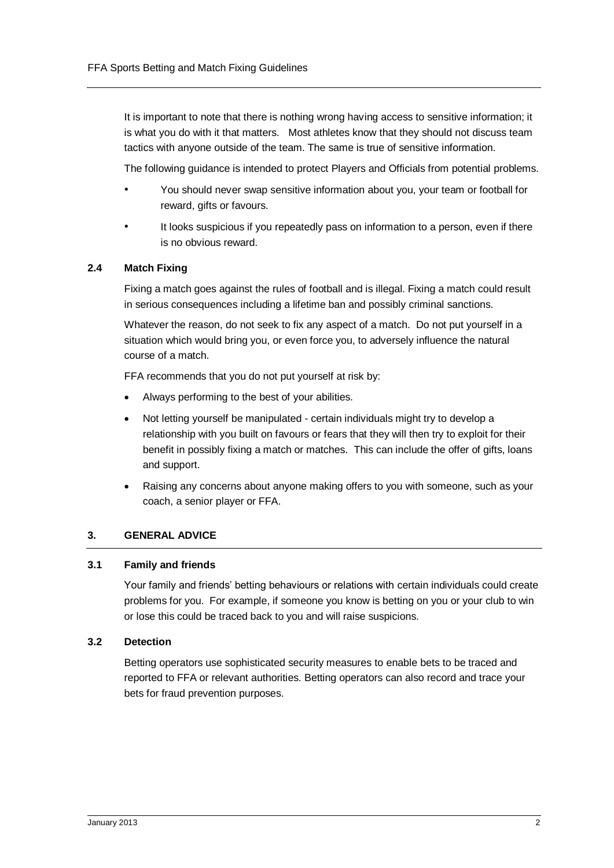It is important to note that there is nothing wrong having access to sensitive information; it is what you do with it that matters. Most athletes know that they should not discuss team tactics with anyone outside of the team. The same is true of sensitive information.

The following guidance is intended to protect Players and Officials from potential problems.

- You should never swap sensitive information about you, your team or football for reward, gifts or favours.
- It looks suspicious if you repeatedly pass on information to a person, even if there is no obvious reward.

## **2.4 Match Fixing**

Fixing a match goes against the rules of football and is illegal. Fixing a match could result in serious consequences including a lifetime ban and possibly criminal sanctions.

Whatever the reason, do not seek to fix any aspect of a match. Do not put yourself in a situation which would bring you, or even force you, to adversely influence the natural course of a match.

FFA recommends that you do not put yourself at risk by:

- Always performing to the best of your abilities.
- Not letting yourself be manipulated certain individuals might try to develop a relationship with you built on favours or fears that they will then try to exploit for their benefit in possibly fixing a match or matches. This can include the offer of gifts, loans and support.
- Raising any concerns about anyone making offers to you with someone, such as your coach, a senior player or FFA.

#### **3. GENERAL ADVICE**

#### **3.1 Family and friends**

Your family and friends' betting behaviours or relations with certain individuals could create problems for you. For example, if someone you know is betting on you or your club to win or lose this could be traced back to you and will raise suspicions.

## **3.2 Detection**

Betting operators use sophisticated security measures to enable bets to be traced and reported to FFA or relevant authorities. Betting operators can also record and trace your bets for fraud prevention purposes.